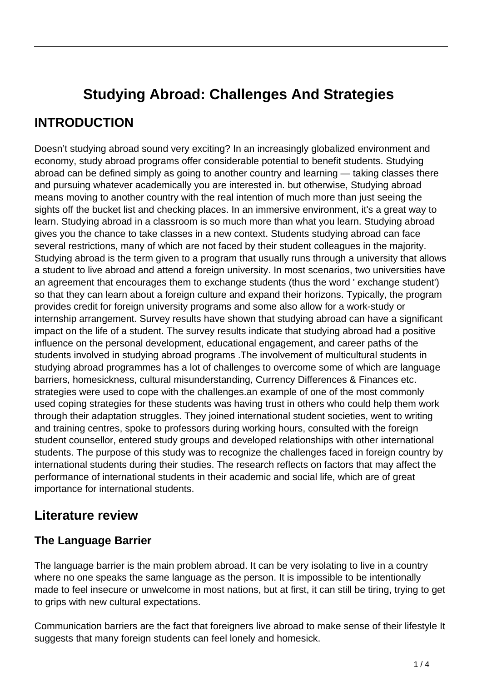# **Studying Abroad: Challenges And Strategies**

## **INTRODUCTION**

Doesn't studying abroad sound very exciting? In an increasingly globalized environment and economy, study abroad programs offer considerable potential to benefit students. Studying abroad can be defined simply as going to another country and learning — taking classes there and pursuing whatever academically you are interested in. but otherwise, Studying abroad means moving to another country with the real intention of much more than just seeing the sights off the bucket list and checking places. In an immersive environment, it's a great way to learn. Studying abroad in a classroom is so much more than what you learn. Studying abroad gives you the chance to take classes in a new context. Students studying abroad can face several restrictions, many of which are not faced by their student colleagues in the majority. Studying abroad is the term given to a program that usually runs through a university that allows a student to live abroad and attend a foreign university. In most scenarios, two universities have an agreement that encourages them to exchange students (thus the word ' exchange student') so that they can learn about a foreign culture and expand their horizons. Typically, the program provides credit for foreign university programs and some also allow for a work-study or internship arrangement. Survey results have shown that studying abroad can have a significant impact on the life of a student. The survey results indicate that studying abroad had a positive influence on the personal development, educational engagement, and career paths of the students involved in studying abroad programs .The involvement of multicultural students in studying abroad programmes has a lot of challenges to overcome some of which are language barriers, homesickness, cultural misunderstanding, Currency Differences & Finances etc. strategies were used to cope with the challenges.an example of one of the most commonly used coping strategies for these students was having trust in others who could help them work through their adaptation struggles. They joined international student societies, went to writing and training centres, spoke to professors during working hours, consulted with the foreign student counsellor, entered study groups and developed relationships with other international students. The purpose of this study was to recognize the challenges faced in foreign country by international students during their studies. The research reflects on factors that may affect the performance of international students in their academic and social life, which are of great importance for international students.

### **Literature review**

### **The Language Barrier**

The language barrier is the main problem abroad. It can be very isolating to live in a country where no one speaks the same language as the person. It is impossible to be intentionally made to feel insecure or unwelcome in most nations, but at first, it can still be tiring, trying to get to grips with new cultural expectations.

Communication barriers are the fact that foreigners live abroad to make sense of their lifestyle It suggests that many foreign students can feel lonely and homesick.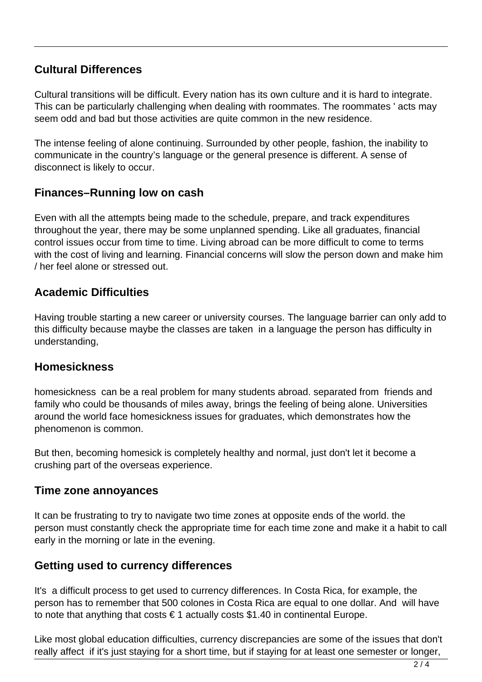### **Cultural Differences**

Cultural transitions will be difficult. Every nation has its own culture and it is hard to integrate. This can be particularly challenging when dealing with roommates. The roommates ' acts may seem odd and bad but those activities are quite common in the new residence.

The intense feeling of alone continuing. Surrounded by other people, fashion, the inability to communicate in the country's language or the general presence is different. A sense of disconnect is likely to occur.

#### **Finances–Running low on cash**

Even with all the attempts being made to the schedule, prepare, and track expenditures throughout the year, there may be some unplanned spending. Like all graduates, financial control issues occur from time to time. Living abroad can be more difficult to come to terms with the cost of living and learning. Financial concerns will slow the person down and make him / her feel alone or stressed out.

#### **Academic Difficulties**

Having trouble starting a new career or university courses. The language barrier can only add to this difficulty because maybe the classes are taken in a language the person has difficulty in understanding,

#### **Homesickness**

homesickness can be a real problem for many students abroad. separated from friends and family who could be thousands of miles away, brings the feeling of being alone. Universities around the world face homesickness issues for graduates, which demonstrates how the phenomenon is common.

But then, becoming homesick is completely healthy and normal, just don't let it become a crushing part of the overseas experience.

#### **Time zone annoyances**

It can be frustrating to try to navigate two time zones at opposite ends of the world. the person must constantly check the appropriate time for each time zone and make it a habit to call early in the morning or late in the evening.

#### **Getting used to currency differences**

It's a difficult process to get used to currency differences. In Costa Rica, for example, the person has to remember that 500 colones in Costa Rica are equal to one dollar. And will have to note that anything that costs  $\epsilon$  1 actually costs \$1.40 in continental Europe.

Like most global education difficulties, currency discrepancies are some of the issues that don't really affect if it's just staying for a short time, but if staying for at least one semester or longer,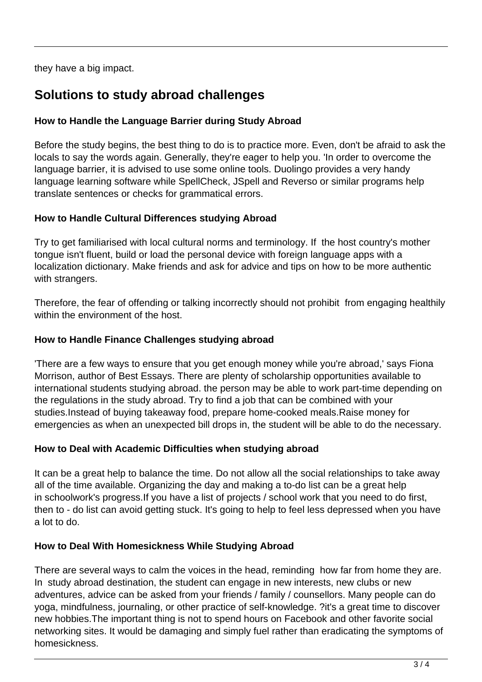they have a big impact.

## **Solutions to study abroad challenges**

#### **How to Handle the Language Barrier during Study Abroad**

Before the study begins, the best thing to do is to practice more. Even, don't be afraid to ask the locals to say the words again. Generally, they're eager to help you. 'In order to overcome the language barrier, it is advised to use some online tools. Duolingo provides a very handy language learning software while SpellCheck, JSpell and Reverso or similar programs help translate sentences or checks for grammatical errors.

#### **How to Handle Cultural Differences studying Abroad**

Try to get familiarised with local cultural norms and terminology. If the host country's mother tongue isn't fluent, build or load the personal device with foreign language apps with a localization dictionary. Make friends and ask for advice and tips on how to be more authentic with strangers.

Therefore, the fear of offending or talking incorrectly should not prohibit from engaging healthily within the environment of the host.

#### **How to Handle Finance Challenges studying abroad**

'There are a few ways to ensure that you get enough money while you're abroad,' says Fiona Morrison, author of Best Essays. There are plenty of scholarship opportunities available to international students studying abroad. the person may be able to work part-time depending on the regulations in the study abroad. Try to find a job that can be combined with your studies.Instead of buying takeaway food, prepare home-cooked meals.Raise money for emergencies as when an unexpected bill drops in, the student will be able to do the necessary.

#### **How to Deal with Academic Difficulties when studying abroad**

It can be a great help to balance the time. Do not allow all the social relationships to take away all of the time available. Organizing the day and making a to-do list can be a great help in schoolwork's progress.If you have a list of projects / school work that you need to do first, then to - do list can avoid getting stuck. It's going to help to feel less depressed when you have a lot to do.

#### **How to Deal With Homesickness While Studying Abroad**

There are several ways to calm the voices in the head, reminding how far from home they are. In study abroad destination, the student can engage in new interests, new clubs or new adventures, advice can be asked from your friends / family / counsellors. Many people can do yoga, mindfulness, journaling, or other practice of self-knowledge. ?it's a great time to discover new hobbies.The important thing is not to spend hours on Facebook and other favorite social networking sites. It would be damaging and simply fuel rather than eradicating the symptoms of homesickness.